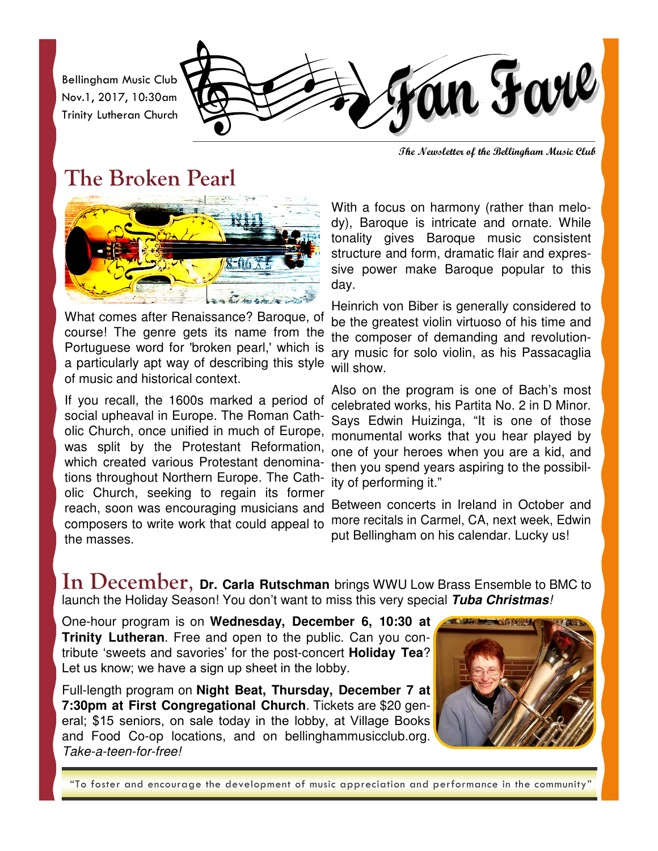Bellingham Music Club Nov.1, 2017, 10:30am Trinity Lutheran Church



**The Newsletter of the Bellingham Music Club** 

## **The Broken Pearl**



What comes after Renaissance? Baroque, of course! The genre gets its name from the Portuguese word for 'broken pearl,' which is a particularly apt way of describing this style of music and historical context.

If you recall, the 1600s marked a period of social upheaval in Europe. The Roman Catholic Church, once unified in much of Europe, was split by the Protestant Reformation, which created various Protestant denominations throughout Northern Europe. The Catholic Church, seeking to regain its former composers to write work that could appeal to the masses.

With a focus on harmony (rather than melody), Baroque is intricate and ornate. While tonality gives Baroque music consistent structure and form, dramatic flair and expressive power make Baroque popular to this day.

Heinrich von Biber is generally considered to be the greatest violin virtuoso of his time and the composer of demanding and revolutionary music for solo violin, as his Passacaglia will show.

Also on the program is one of Bach's most celebrated works, his Partita No. 2 in D Minor. Says Edwin Huizinga, "It is one of those monumental works that you hear played by one of your heroes when you are a kid, and then you spend years aspiring to the possibility of performing it."

reach, soon was encouraging musicians and Between concerts in Ireland in October and more recitals in Carmel, CA, next week, Edwin put Bellingham on his calendar. Lucky us!

In December, Dr. Carla Rutschman brings WWU Low Brass Ensemble to BMC to launch the Holiday Season! You don't want to miss this very special **Tuba Christmas***!*

One-hour program is on **Wednesday, December 6, 10:30 at Trinity Lutheran**. Free and open to the public. Can you contribute 'sweets and savories' for the post-concert **Holiday Tea**? Let us know; we have a sign up sheet in the lobby.

Full-length program on **Night Beat, Thursday, December 7 at 7:30pm at First Congregational Church**. Tickets are \$20 general; \$15 seniors, on sale today in the lobby, at Village Books and Food Co-op locations, and on bellinghammusicclub.org. *Take-a-teen-for-free!*



"To foster and encourage the development of music appreciation and performance in the community"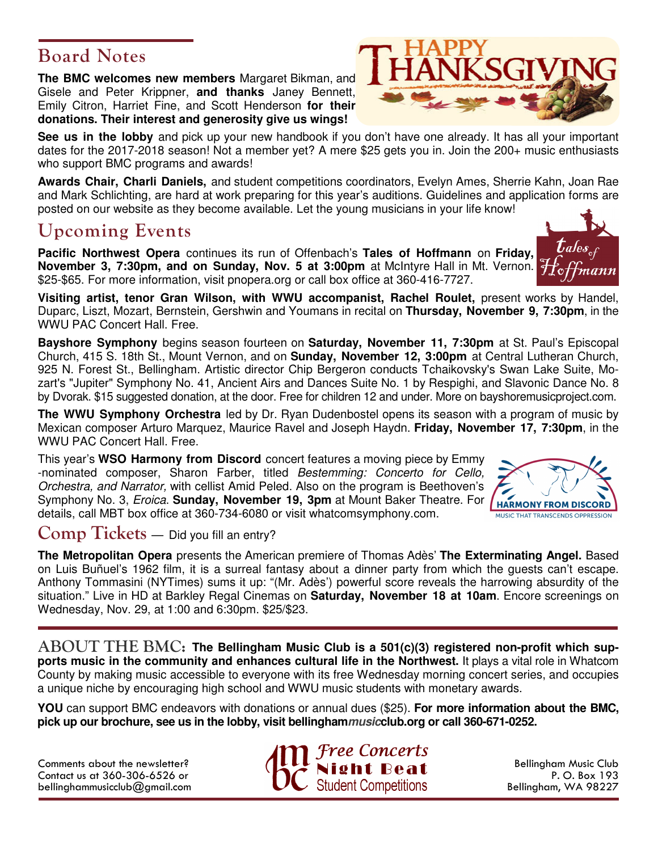### **Board Notes**

**The BMC welcomes new members** Margaret Bikman, and Gisele and Peter Krippner, **and thanks** Janey Bennett, Emily Citron, Harriet Fine, and Scott Henderson **for their donations. Their interest and generosity give us wings!** 

**See us in the lobby** and pick up your new handbook if you don't have one already. It has all your important dates for the 2017-2018 season! Not a member yet? A mere \$25 gets you in. Join the 200+ music enthusiasts who support BMC programs and awards!

**Awards Chair, Charli Daniels,** and student competitions coordinators, Evelyn Ames, Sherrie Kahn, Joan Rae and Mark Schlichting, are hard at work preparing for this year's auditions. Guidelines and application forms are posted on our website as they become available. Let the young musicians in your life know!

## **Upcoming Events**

**Pacific Northwest Opera** continues its run of Offenbach's **Tales of Hoffmann** on **Friday, November 3, 7:30pm, and on Sunday, Nov. 5 at 3:00pm** at McIntyre Hall in Mt. Vernon. \$25-\$65. For more information, visit pnopera.org or call box office at 360-416-7727.

**Visiting artist, tenor Gran Wilson, with WWU accompanist, Rachel Roulet,** present works by Handel, Duparc, Liszt, Mozart, Bernstein, Gershwin and Youmans in recital on **Thursday, November 9, 7:30pm**, in the WWU PAC Concert Hall. Free.

**Bayshore Symphony** begins season fourteen on **Saturday, November 11, 7:30pm** at St. Paul's Episcopal Church, 415 S. 18th St., Mount Vernon, and on **Sunday, November 12, 3:00pm** at Central Lutheran Church, 925 N. Forest St., Bellingham. Artistic director Chip Bergeron conducts Tchaikovsky's Swan Lake Suite, Mozart's "Jupiter" Symphony No. 41, Ancient Airs and Dances Suite No. 1 by Respighi, and Slavonic Dance No. 8 by Dvorak. \$15 suggested donation, at the door. Free for children 12 and under. More on bayshoremusicproject.com.

**The WWU Symphony Orchestra** led by Dr. Ryan Dudenbostel opens its season with a program of music by Mexican composer Arturo Marquez, Maurice Ravel and Joseph Haydn. **Friday, November 17, 7:30pm**, in the WWU PAC Concert Hall. Free.

This year's **WSO Harmony from Discord** concert features a moving piece by Emmy -nominated composer, Sharon Farber, titled *Bestemming: Concerto for Cello, Orchestra, and Narrator,* with cellist Amid Peled. Also on the program is Beethoven's Symphony No. 3, *Eroica*. **Sunday, November 19, 3pm** at Mount Baker Theatre. For details, call MBT box office at 360-734-6080 or visit whatcomsymphony.com.

#### **Comp Tickets** — Did you fill an entry?

**The Metropolitan Opera** presents the American premiere of Thomas Adès' **The Exterminating Angel.** Based on Luis Buñuel's 1962 film, it is a surreal fantasy about a dinner party from which the guests can't escape. Anthony Tommasini (NYTimes) sums it up: "(Mr. Adès') powerful score reveals the harrowing absurdity of the situation." Live in HD at Barkley Regal Cinemas on **Saturday, November 18 at 10am**. Encore screenings on Wednesday, Nov. 29, at 1:00 and 6:30pm. \$25/\$23.

 $ABOUT THE BMC:$  The Bellingham Music Club is a 501(c)(3) registered non-profit which sup**ports music in the community and enhances cultural life in the Northwest.** It plays a vital role in Whatcom County by making music accessible to everyone with its free Wednesday morning concert series, and occupies a unique niche by encouraging high school and WWU music students with monetary awards.

**YOU** can support BMC endeavors with donations or annual dues (\$25). **For more information about the BMC, pick up our brochure, see us in the lobby, visit bellinghammusicclub.org or call 360-671-0252.** 

Comments about the newsletter? Contact us at 360-306-6526 or bellinghammusicclub@gmail.com



Bellingham Music Club P. O. Box 193 Bellingham, WA 98227





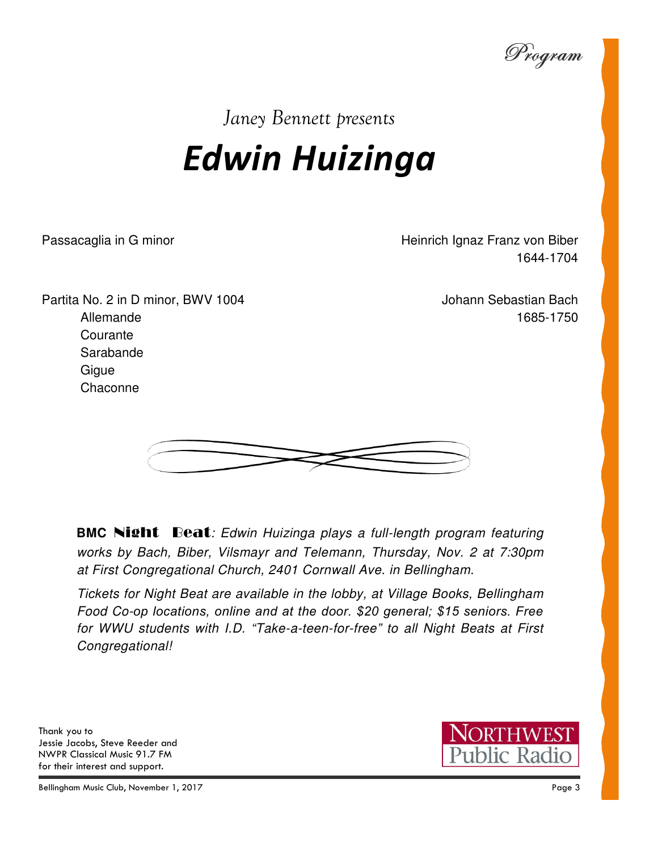Program

## *Janey Bennett presents*

# *Edwin Huizinga*

Passacaglia in G minor **Franz in G** minor Heinrich Ignaz Franz von Biber 1644-1704

Partita No. 2 in D minor, BWV 1004 Allemande **Courante** Sarabande **Gigue Chaconne** 

Johann Sebastian Bach 1685-1750



**BMC** Night Beat*: Edwin Huizinga plays a full-length program featuring works by Bach, Biber, Vilsmayr and Telemann, Thursday, Nov. 2 at 7:30pm at First Congregational Church, 2401 Cornwall Ave. in Bellingham.* 

*Tickets for Night Beat are available in the lobby, at Village Books, Bellingham Food Co-op locations, online and at the door. \$20 general; \$15 seniors. Free for WWU students with I.D. "Take-a-teen-for-free" to all Night Beats at First Congregational!* 

Thank you to Jessie Jacobs, Steve Reeder and NWPR Classical Music 91.7 FM for their interest and support.



Bellingham Music Club, November 1, 2017 Page 3